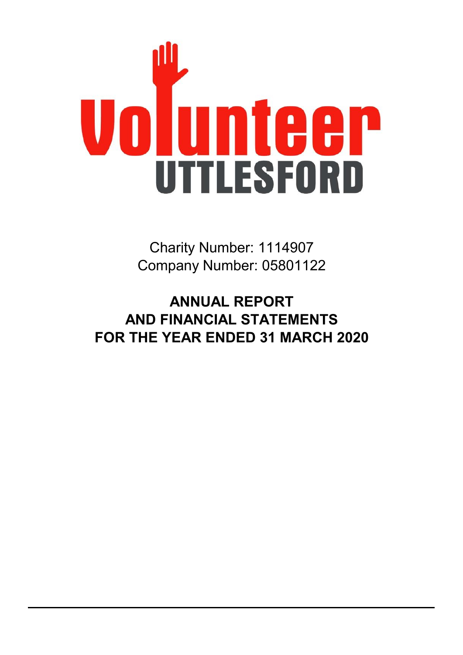

Company Number: 05801122 Charity Number: 1114907

**FOR THE YEAR ENDED 31 MARCH 2020 AND FINANCIAL STATEMENTS ANNUAL REPORT**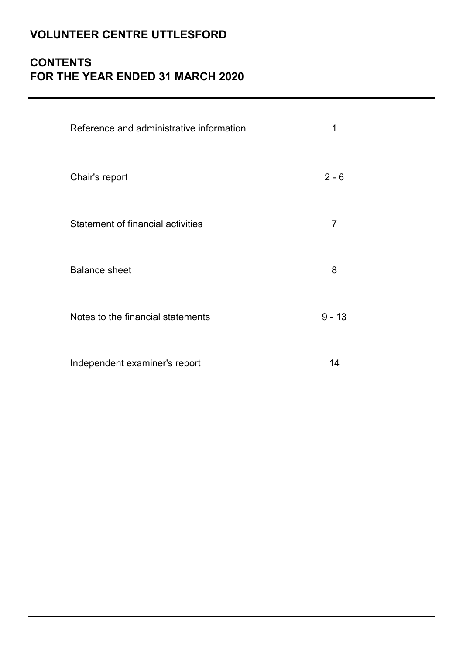# **CONTENTS FOR THE YEAR ENDED 31 MARCH 2020**

| Reference and administrative information | 1        |
|------------------------------------------|----------|
| Chair's report                           | $2 - 6$  |
| <b>Statement of financial activities</b> | 7        |
| <b>Balance sheet</b>                     | 8        |
| Notes to the financial statements        | $9 - 13$ |
| Independent examiner's report            | 14       |

**Draft as at 11th November 2020**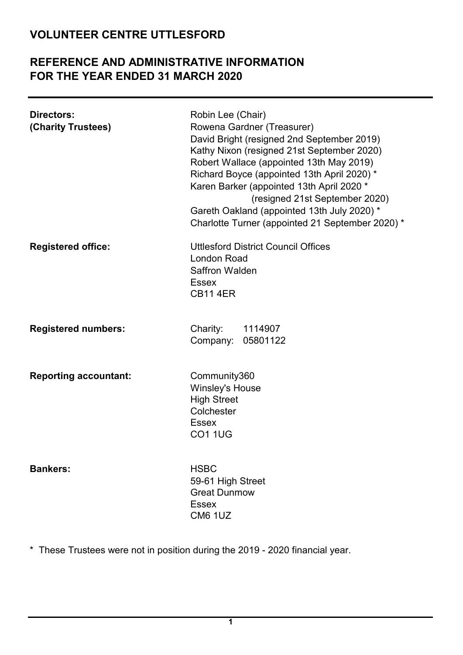## **REFERENCE AND ADMINISTRATIVE INFORMATION FOR THE YEAR ENDED 31 MARCH 2020**

| Directors:<br>(Charity Trustees) | Robin Lee (Chair)<br>Rowena Gardner (Treasurer)<br>David Bright (resigned 2nd September 2019)<br>Kathy Nixon (resigned 21st September 2020)<br>Robert Wallace (appointed 13th May 2019)<br>Richard Boyce (appointed 13th April 2020) *<br>Karen Barker (appointed 13th April 2020 *<br>(resigned 21st September 2020)<br>Gareth Oakland (appointed 13th July 2020) *<br>Charlotte Turner (appointed 21 September 2020) * |
|----------------------------------|--------------------------------------------------------------------------------------------------------------------------------------------------------------------------------------------------------------------------------------------------------------------------------------------------------------------------------------------------------------------------------------------------------------------------|
| <b>Registered office:</b>        | <b>Uttlesford District Council Offices</b><br><b>London Road</b><br><b>Saffron Walden</b><br><b>Essex</b><br><b>CB11 4ER</b>                                                                                                                                                                                                                                                                                             |
| <b>Registered numbers:</b>       | Charity:<br>1114907<br>Company: 05801122                                                                                                                                                                                                                                                                                                                                                                                 |
| <b>Reporting accountant:</b>     | Community360<br><b>Winsley's House</b><br><b>High Street</b><br>Colchester<br><b>Essex</b><br><b>CO1 1UG</b>                                                                                                                                                                                                                                                                                                             |
| <b>Bankers:</b>                  | <b>HSBC</b><br>59-61 High Street<br><b>Great Dunmow</b><br><b>Essex</b><br><b>CM6 1UZ</b>                                                                                                                                                                                                                                                                                                                                |

\* These Trustees were not in position during the 2019 - 2020 financial year.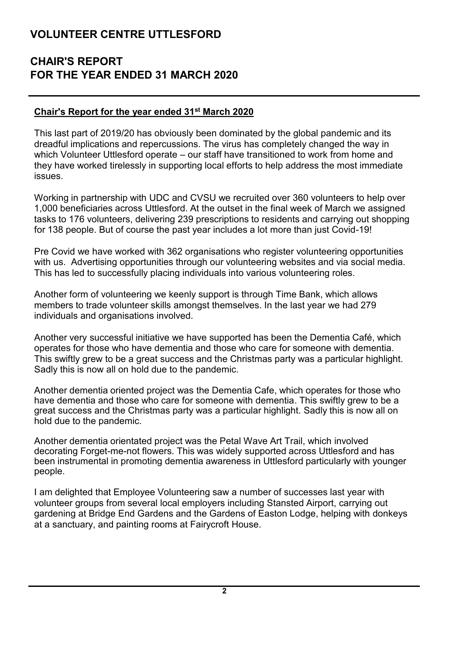## **CHAIR'S REPORT FOR THE YEAR ENDED 31 MARCH 2020**

#### **Chair's Report for the year ended 31st March 2020**

This last part of 2019/20 has obviously been dominated by the global pandemic and its dreadful implications and repercussions. The virus has completely changed the way in which Volunteer Uttlesford operate – our staff have transitioned to work from home and they have worked tirelessly in supporting local efforts to help address the most immediate issues.

Working in partnership with UDC and CVSU we recruited over 360 volunteers to help over 1,000 beneficiaries across Uttlesford. At the outset in the final week of March we assigned tasks to 176 volunteers, delivering 239 prescriptions to residents and carrying out shopping for 138 people. But of course the past year includes a lot more than just Covid-19!

Pre Covid we have worked with 362 organisations who register volunteering opportunities with us. Advertising opportunities through our volunteering websites and via social media. This has led to successfully placing individuals into various volunteering roles.

Another form of volunteering we keenly support is through Time Bank, which allows members to trade volunteer skills amongst themselves. In the last year we had 279 individuals and organisations involved.

Another very successful initiative we have supported has been the Dementia Café, which operates for those who have dementia and those who care for someone with dementia. This swiftly grew to be a great success and the Christmas party was a particular highlight. Sadly this is now all on hold due to the pandemic.

Another dementia oriented project was the Dementia Cafe, which operates for those who have dementia and those who care for someone with dementia. This swiftly grew to be a great success and the Christmas party was a particular highlight. Sadly this is now all on hold due to the pandemic.

Another dementia orientated project was the Petal Wave Art Trail, which involved decorating Forget-me-not flowers. This was widely supported across Uttlesford and has been instrumental in promoting dementia awareness in Uttlesford particularly with younger people.

I am delighted that Employee Volunteering saw a number of successes last year with volunteer groups from several local employers including Stansted Airport, carrying out gardening at Bridge End Gardens and the Gardens of Easton Lodge, helping with donkeys at a sanctuary, and painting rooms at Fairycroft House.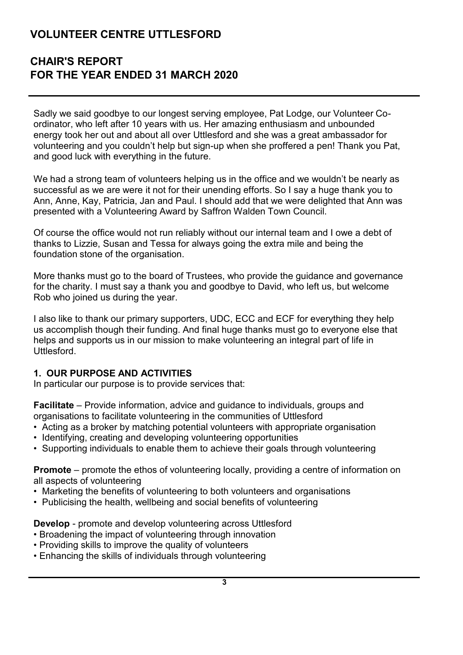## **CHAIR'S REPORT FOR THE YEAR ENDED 31 MARCH 2020**

Sadly we said goodbye to our longest serving employee, Pat Lodge, our Volunteer Coordinator, who left after 10 years with us. Her amazing enthusiasm and unbounded energy took her out and about all over Uttlesford and she was a great ambassador for volunteering and you couldn't help but sign-up when she proffered a pen! Thank you Pat, and good luck with everything in the future.

We had a strong team of volunteers helping us in the office and we wouldn't be nearly as successful as we are were it not for their unending efforts. So I say a huge thank you to Ann, Anne, Kay, Patricia, Jan and Paul. I should add that we were delighted that Ann was presented with a Volunteering Award by Saffron Walden Town Council.

Of course the office would not run reliably without our internal team and I owe a debt of thanks to Lizzie, Susan and Tessa for always going the extra mile and being the foundation stone of the organisation.

More thanks must go to the board of Trustees, who provide the guidance and governance for the charity. I must say a thank you and goodbye to David, who left us, but welcome Rob who joined us during the year.

I also like to thank our primary supporters, UDC, ECC and ECF for everything they help us accomplish though their funding. And final huge thanks must go to everyone else that helps and supports us in our mission to make volunteering an integral part of life in Uttlesford.

#### **1. OUR PURPOSE AND ACTIVITIES**

In particular our purpose is to provide services that:

**Facilitate** – Provide information, advice and guidance to individuals, groups and organisations to facilitate volunteering in the communities of Uttlesford

- Acting as a broker by matching potential volunteers with appropriate organisation
- Identifying, creating and developing volunteering opportunities
- Supporting individuals to enable them to achieve their goals through volunteering

**Promote** – promote the ethos of volunteering locally, providing a centre of information on all aspects of volunteering

- Marketing the benefits of volunteering to both volunteers and organisations
- Publicising the health, wellbeing and social benefits of volunteering

**Develop** - promote and develop volunteering across Uttlesford

- Broadening the impact of volunteering through innovation
- Providing skills to improve the quality of volunteers
- Enhancing the skills of individuals through volunteering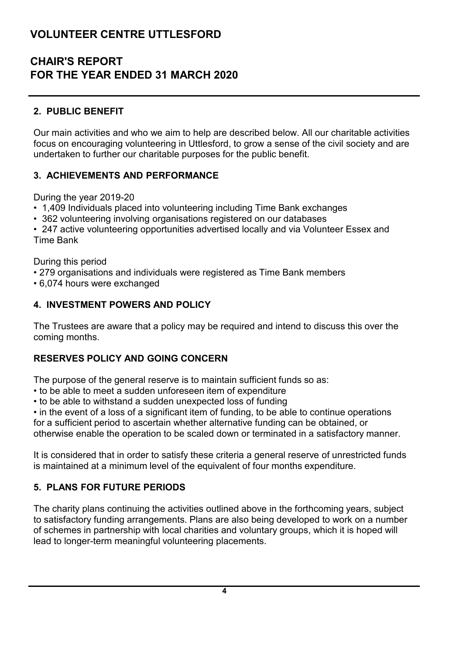## **CHAIR'S REPORT FOR THE YEAR ENDED 31 MARCH 2020**

### **2. PUBLIC BENEFIT**

Our main activities and who we aim to help are described below. All our charitable activities focus on encouraging volunteering in Uttlesford, to grow a sense of the civil society and are undertaken to further our charitable purposes for the public benefit.

#### **3. ACHIEVEMENTS AND PERFORMANCE**

During the year 2019-20

- 1,409 Individuals placed into volunteering including Time Bank exchanges
- 362 volunteering involving organisations registered on our databases

• 247 active volunteering opportunities advertised locally and via Volunteer Essex and Time Bank

During this period

- 279 organisations and individuals were registered as Time Bank members
- 6,074 hours were exchanged

#### **4. INVESTMENT POWERS AND POLICY**

The Trustees are aware that a policy may be required and intend to discuss this over the coming months.

#### **RESERVES POLICY AND GOING CONCERN**

The purpose of the general reserve is to maintain sufficient funds so as:

- to be able to meet a sudden unforeseen item of expenditure
- to be able to withstand a sudden unexpected loss of funding

• in the event of a loss of a significant item of funding, to be able to continue operations

for a sufficient period to ascertain whether alternative funding can be obtained, or otherwise enable the operation to be scaled down or terminated in a satisfactory manner.

It is considered that in order to satisfy these criteria a general reserve of unrestricted funds is maintained at a minimum level of the equivalent of four months expenditure.

#### **5. PLANS FOR FUTURE PERIODS**

The charity plans continuing the activities outlined above in the forthcoming years, subject to satisfactory funding arrangements. Plans are also being developed to work on a number of schemes in partnership with local charities and voluntary groups, which it is hoped will lead to longer-term meaningful volunteering placements.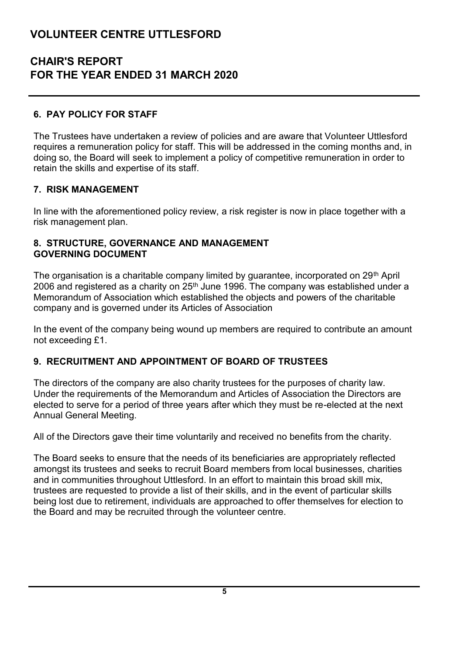## **CHAIR'S REPORT FOR THE YEAR ENDED 31 MARCH 2020**

#### **6. PAY POLICY FOR STAFF**

The Trustees have undertaken a review of policies and are aware that Volunteer Uttlesford requires a remuneration policy for staff. This will be addressed in the coming months and, in doing so, the Board will seek to implement a policy of competitive remuneration in order to retain the skills and expertise of its staff.

#### **7. RISK MANAGEMENT**

In line with the aforementioned policy review, a risk register is now in place together with a risk management plan.

#### **8. STRUCTURE, GOVERNANCE AND MANAGEMENT GOVERNING DOCUMENT**

The organisation is a charitable company limited by guarantee, incorporated on 29th April 2006 and registered as a charity on  $25<sup>th</sup>$  June 1996. The company was established under a Memorandum of Association which established the objects and powers of the charitable company and is governed under its Articles of Association

In the event of the company being wound up members are required to contribute an amount not exceeding £1.

#### **9. RECRUITMENT AND APPOINTMENT OF BOARD OF TRUSTEES**

The directors of the company are also charity trustees for the purposes of charity law. Under the requirements of the Memorandum and Articles of Association the Directors are elected to serve for a period of three years after which they must be re-elected at the next Annual General Meeting.

All of the Directors gave their time voluntarily and received no benefits from the charity.

The Board seeks to ensure that the needs of its beneficiaries are appropriately reflected amongst its trustees and seeks to recruit Board members from local businesses, charities and in communities throughout Uttlesford. In an effort to maintain this broad skill mix, trustees are requested to provide a list of their skills, and in the event of particular skills being lost due to retirement, individuals are approached to offer themselves for election to the Board and may be recruited through the volunteer centre.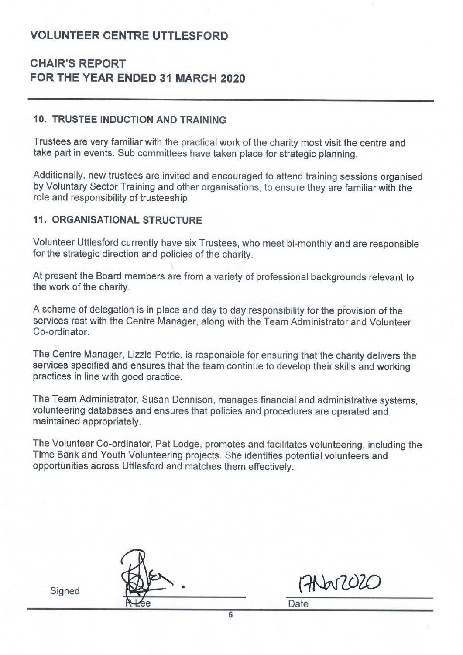## **CHAIR'S REPORT** FOR THE YEAR ENDED 31 MARCH 2020

#### **10. TRUSTEE INDUCTION AND TRAINING**

Trustees are very familiar with the practical work of the charity most visit the centre and take part in events. Sub committees have taken place for strategic planning.

Additionally, new trustees are invited and encouraged to attend training sessions organised by Voluntary Sector Training and other organisations, to ensure they are familiar with the role and responsibility of trusteeship.

#### **11. ORGANISATIONAL STRUCTURE**

Volunteer Uttlesford currently have six Trustees, who meet bi-monthly and are responsible for the strategic direction and policies of the charity.

At present the Board members are from a variety of professional backgrounds relevant to the work of the charity.

A scheme of delegation is in place and day to day responsibility for the provision of the services rest with the Centre Manager, along with the Team Administrator and Volunteer Co-ordinator

The Centre Manager, Lizzie Petrie, is responsible for ensuring that the charity delivers the services specified and ensures that the team continue to develop their skills and working practices in line with good practice.

The Team Administrator, Susan Dennison, manages financial and administrative systems. volunteering databases and ensures that policies and procedures are operated and maintained appropriately.

The Volunteer Co-ordinator, Pat Lodge, promotes and facilitates volunteering, including the Time Bank and Youth Volunteering projects. She identifies potential volunteers and opportunities across Uttlesford and matches them effectively.

Signed

17 War 2020

**Date**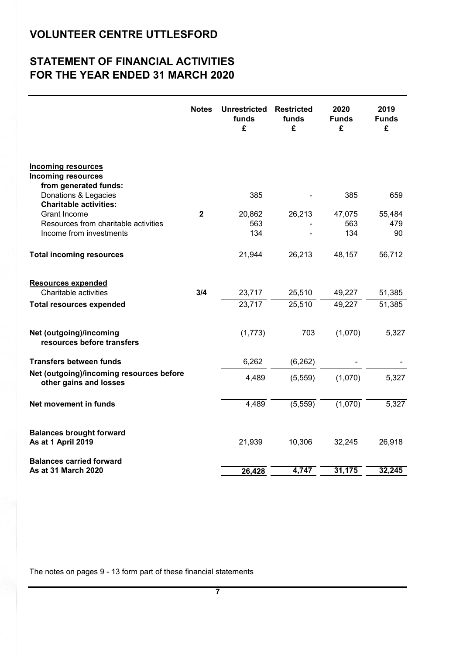# **STATEMENT OF FINANCIAL ACTIVITIES FOR THE YEAR ENDED 31 MARCH 2020**

|                                                                                                                         | <b>Notes</b>            | <b>Unrestricted</b><br>funds<br>£ | <b>Restricted</b><br>funds<br>£ | 2020<br><b>Funds</b><br>£ | 2019<br><b>Funds</b><br>£ |
|-------------------------------------------------------------------------------------------------------------------------|-------------------------|-----------------------------------|---------------------------------|---------------------------|---------------------------|
| <b>Incoming resources</b><br><b>Incoming resources</b><br>from generated funds:                                         |                         |                                   |                                 |                           |                           |
| Donations & Legacies                                                                                                    |                         | 385                               |                                 | 385                       | 659                       |
| <b>Charitable activities:</b><br><b>Grant Income</b><br>Resources from charitable activities<br>Income from investments | $\overline{\mathbf{2}}$ | 20,862<br>563<br>134              | 26,213                          | 47,075<br>563<br>134      | 55,484<br>479<br>90       |
| <b>Total incoming resources</b>                                                                                         |                         | 21,944                            | 26,213                          | 48,157                    | 56,712                    |
| <b>Resources expended</b><br>Charitable activities                                                                      | 3/4                     | 23,717                            | 25,510                          | 49,227                    | 51,385                    |
| <b>Total resources expended</b>                                                                                         |                         | 23,717                            | 25,510                          | 49,227                    | 51,385                    |
| Net (outgoing)/incoming<br>resources before transfers                                                                   |                         | (1,773)                           | 703                             | (1,070)                   | 5,327                     |
| <b>Transfers between funds</b>                                                                                          |                         | 6,262                             | (6, 262)                        |                           |                           |
| Net (outgoing)/incoming resources before<br>other gains and losses                                                      |                         | 4,489                             | (5,559)                         | (1,070)                   | 5,327                     |
| Net movement in funds                                                                                                   |                         | 4,489                             | (5, 559)                        | (1,070)                   | 5,327                     |
| <b>Balances brought forward</b><br>As at 1 April 2019                                                                   |                         | 21,939                            | 10,306                          | 32,245                    | 26,918                    |
| <b>Balances carried forward</b><br>As at 31 March 2020                                                                  |                         | 26,428                            | 4,747                           | 31,175                    | 32,245                    |

The notes on pages 9 - 13 form part of these financial statements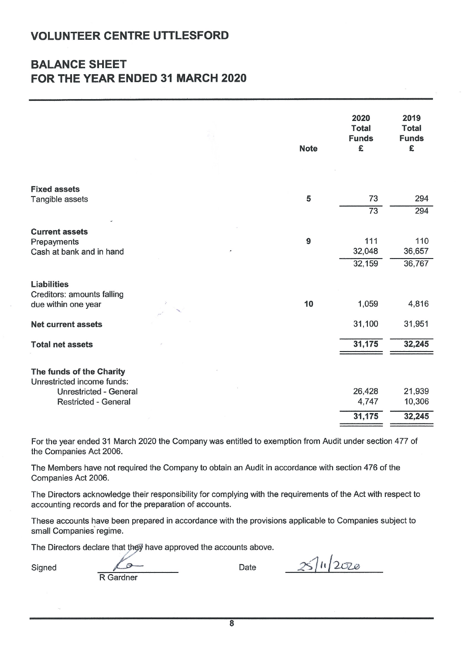# **BALANCE SHEET** FOR THE YEAR ENDED 31 MARCH 2020

|                                                              | <b>Note</b> | 2020<br><b>Total</b><br><b>Funds</b><br>£ | 2019<br><b>Total</b><br><b>Funds</b><br>£ |
|--------------------------------------------------------------|-------------|-------------------------------------------|-------------------------------------------|
| <b>Fixed assets</b>                                          | 5           | 73                                        | 294                                       |
| Tangible assets                                              |             | $\overline{73}$                           | 294                                       |
| <b>Current assets</b>                                        |             |                                           |                                           |
| Prepayments                                                  | 9           | 111                                       | 110                                       |
| Cash at bank and in hand                                     |             | 32,048                                    | 36,657                                    |
|                                                              |             | 32,159                                    | 36,767                                    |
| <b>Liabilities</b>                                           |             |                                           |                                           |
| Creditors: amounts falling<br>due within one year            | 10          | 1,059                                     | 4,816                                     |
| <b>Net current assets</b>                                    |             | 31,100                                    | 31,951                                    |
| <b>Total net assets</b>                                      |             | 31,175                                    | 32,245                                    |
| The funds of the Charity<br>Unrestricted income funds:       |             |                                           |                                           |
| <b>Unrestricted - General</b><br><b>Restricted - General</b> |             | 26,428<br>4,747                           | 21,939<br>10,306                          |
|                                                              |             | 31,175                                    | 32,245                                    |

For the vear ended 31 March 2020 the Company was entitled to exemption from Audit under section 477 of the Companies Act 2006.

The Members have not required the Company to obtain an Audit in accordance with section 476 of the Companies Act 2006.

The Directors acknowledge their responsibility for complying with the requirements of the Act with respect to accounting records and for the preparation of accounts.

These accounts have been prepared in accordance with the provisions applicable to Companies subject to small Companies regime.

The Directors declare that they have approved the accounts above.

Signed

 $\mathcal{C}$ R Gardner

Date

 $311/2020$ 

 $\overline{\mathbf{8}}$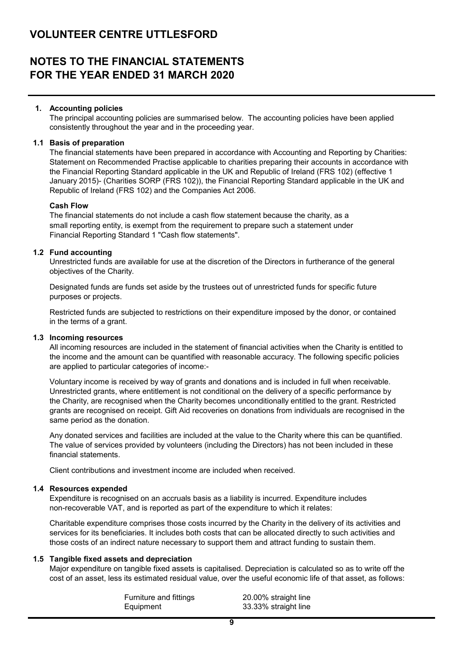## **NOTES TO THE FINANCIAL STATEMENTS FOR THE YEAR ENDED 31 MARCH 2020**

#### **1. Accounting policies**

The principal accounting policies are summarised below. The accounting policies have been applied consistently throughout the year and in the proceeding year.

#### **1.1 Basis of preparation**

The financial statements have been prepared in accordance with Accounting and Reporting by Charities: Statement on Recommended Practise applicable to charities preparing their accounts in accordance with the Financial Reporting Standard applicable in the UK and Republic of Ireland (FRS 102) (effective 1 January 2015)- (Charities SORP (FRS 102)), the Financial Reporting Standard applicable in the UK and Republic of Ireland (FRS 102) and the Companies Act 2006.

#### **Cash Flow**

The financial statements do not include a cash flow statement because the charity, as a small reporting entity, is exempt from the requirement to prepare such a statement under Financial Reporting Standard 1 "Cash flow statements".

#### **1.2 Fund accounting**

Unrestricted funds are available for use at the discretion of the Directors in furtherance of the general objectives of the Charity.

Designated funds are funds set aside by the trustees out of unrestricted funds for specific future purposes or projects.

Restricted funds are subjected to restrictions on their expenditure imposed by the donor, or contained in the terms of a grant.

#### **1.3 Incoming resources**

All incoming resources are included in the statement of financial activities when the Charity is entitled to the income and the amount can be quantified with reasonable accuracy. The following specific policies are applied to particular categories of income:-

Voluntary income is received by way of grants and donations and is included in full when receivable. Unrestricted grants, where entitlement is not conditional on the delivery of a specific performance by the Charity, are recognised when the Charity becomes unconditionally entitled to the grant. Restricted grants are recognised on receipt. Gift Aid recoveries on donations from individuals are recognised in the same period as the donation.

Any donated services and facilities are included at the value to the Charity where this can be quantified. The value of services provided by volunteers (including the Directors) has not been included in these financial statements.

Client contributions and investment income are included when received.

#### **1.4 Resources expended**

Expenditure is recognised on an accruals basis as a liability is incurred. Expenditure includes non-recoverable VAT, and is reported as part of the expenditure to which it relates:

Charitable expenditure comprises those costs incurred by the Charity in the delivery of its activities and services for its beneficiaries. It includes both costs that can be allocated directly to such activities and those costs of an indirect nature necessary to support them and attract funding to sustain them.

#### **1.5 Tangible fixed assets and depreciation**

Major expenditure on tangible fixed assets is capitalised. Depreciation is calculated so as to write off the cost of an asset, less its estimated residual value, over the useful economic life of that asset, as follows:

> Furniture and fittings 20.00% straight line Equipment 33.33% straight line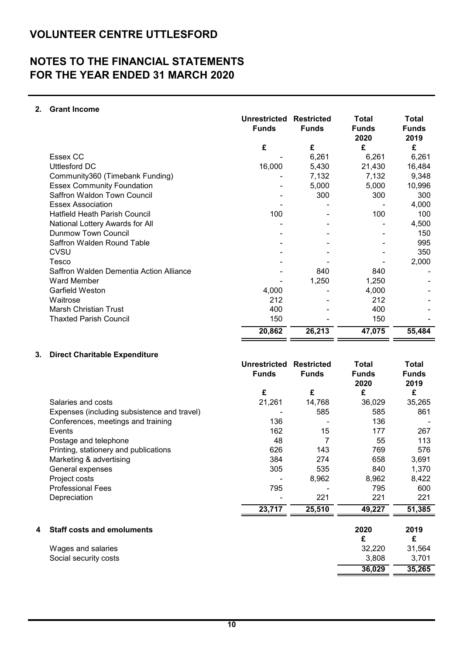# **NOTES TO THE FINANCIAL STATEMENTS FOR THE YEAR ENDED 31 MARCH 2020**

#### **2. Grant Income**

|                                         | <b>Unrestricted</b><br><b>Funds</b> | <b>Restricted</b><br><b>Funds</b> | Total<br><b>Funds</b><br>2020 | <b>Total</b><br><b>Funds</b><br>2019 |
|-----------------------------------------|-------------------------------------|-----------------------------------|-------------------------------|--------------------------------------|
|                                         | £                                   | £                                 | £                             | £                                    |
| Essex CC                                |                                     | 6,261                             | 6,261                         | 6,261                                |
| <b>Uttlesford DC</b>                    | 16,000                              | 5,430                             | 21,430                        | 16,484                               |
| Community360 (Timebank Funding)         |                                     | 7,132                             | 7,132                         | 9,348                                |
| <b>Essex Community Foundation</b>       |                                     | 5,000                             | 5,000                         | 10,996                               |
| Saffron Waldon Town Council             |                                     | 300                               | 300                           | 300                                  |
| <b>Essex Association</b>                |                                     |                                   |                               | 4,000                                |
| <b>Hatfield Heath Parish Council</b>    | 100                                 |                                   | 100                           | 100                                  |
| National Lottery Awards for All         |                                     |                                   |                               | 4,500                                |
| Dunmow Town Council                     |                                     |                                   |                               | 150                                  |
| Saffron Walden Round Table              |                                     |                                   |                               | 995                                  |
| CVSU                                    |                                     |                                   |                               | 350                                  |
| Tesco                                   |                                     |                                   |                               | 2,000                                |
| Saffron Walden Dementia Action Alliance |                                     | 840                               | 840                           |                                      |
| Ward Member                             |                                     | 1,250                             | 1,250                         |                                      |
| Garfield Weston                         | 4,000                               |                                   | 4,000                         |                                      |
| Waitrose                                | 212                                 |                                   | 212                           |                                      |
| <b>Marsh Christian Trust</b>            | 400                                 |                                   | 400                           |                                      |
| <b>Thaxted Parish Council</b>           | 150                                 |                                   | 150                           |                                      |
|                                         | 20,862                              | 26,213                            | 47,075                        | 55,484                               |

#### **3. Direct Charitable Expenditure**

|   |                                             | <b>Unrestricted</b><br><b>Funds</b> | <b>Restricted</b><br><b>Funds</b> | Total<br><b>Funds</b><br>2020 | Total<br><b>Funds</b><br>2019 |
|---|---------------------------------------------|-------------------------------------|-----------------------------------|-------------------------------|-------------------------------|
|   |                                             | £                                   | £                                 | £                             | £                             |
|   | Salaries and costs                          | 21,261                              | 14,768                            | 36,029                        | 35,265                        |
|   | Expenses (including subsistence and travel) |                                     | 585                               | 585                           | 861                           |
|   | Conferences, meetings and training          | 136                                 |                                   | 136                           |                               |
|   | Events                                      | 162                                 | 15                                | 177                           | 267                           |
|   | Postage and telephone                       | 48                                  | 7                                 | 55                            | 113                           |
|   | Printing, stationery and publications       | 626                                 | 143                               | 769                           | 576                           |
|   | Marketing & advertising                     | 384                                 | 274                               | 658                           | 3,691                         |
|   | General expenses                            | 305                                 | 535                               | 840                           | 1,370                         |
|   | Project costs                               |                                     | 8,962                             | 8,962                         | 8,422                         |
|   | <b>Professional Fees</b>                    | 795                                 |                                   | 795                           | 600                           |
|   | Depreciation                                |                                     | 221                               | 221                           | 221                           |
|   |                                             | 23,717                              | 25,510                            | 49,227                        | 51,385                        |
| 4 | <b>Staff costs and emoluments</b>           |                                     |                                   | 2020                          | 2019                          |
|   |                                             |                                     |                                   | £                             | £                             |
|   | Wages and salaries                          |                                     |                                   | 32,220                        | 31,564                        |
|   | Social security costs                       |                                     |                                   | 3,808                         | 3,701                         |
|   |                                             |                                     |                                   | 36,029                        | 35,265                        |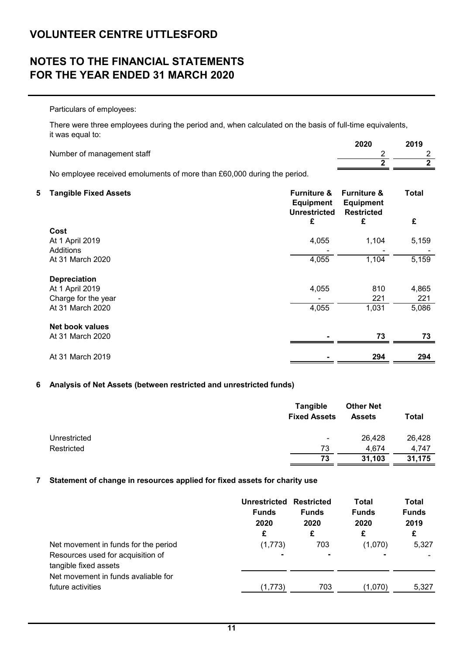# **NOTES TO THE FINANCIAL STATEMENTS FOR THE YEAR ENDED 31 MARCH 2020**

Particulars of employees:

There were three employees during the period and, when calculated on the basis of full-time equivalents, it was equal to:

|                            | 2020 | 2019 |
|----------------------------|------|------|
| Number of management staff |      |      |
|                            |      |      |
|                            |      |      |

No employee received emoluments of more than £60,000 during the period.

| 5 | <b>Tangible Fixed Assets</b> | <b>Furniture &amp;</b><br><b>Equipment</b><br><b>Unrestricted</b> | <b>Furniture &amp;</b><br><b>Equipment</b><br><b>Restricted</b> | <b>Total</b> |
|---|------------------------------|-------------------------------------------------------------------|-----------------------------------------------------------------|--------------|
|   |                              | £                                                                 | £                                                               | £            |
|   | Cost                         |                                                                   |                                                                 |              |
|   | At 1 April 2019              | 4,055                                                             | 1,104                                                           | 5,159        |
|   | <b>Additions</b>             |                                                                   |                                                                 |              |
|   | At 31 March 2020             | 4,055                                                             | 1,104                                                           | 5,159        |
|   | <b>Depreciation</b>          |                                                                   |                                                                 |              |
|   | At 1 April 2019              | 4,055                                                             | 810                                                             | 4,865        |
|   | Charge for the year          |                                                                   | 221                                                             | 221          |
|   | At 31 March 2020             | 4,055                                                             | 1,031                                                           | 5,086        |
|   | Net book values              |                                                                   |                                                                 |              |
|   | At 31 March 2020             |                                                                   | 73                                                              | 73           |
|   | At 31 March 2019             |                                                                   | 294                                                             | 294          |

#### **6 Analysis of Net Assets (between restricted and unrestricted funds)**

|              | <b>Tangible</b><br><b>Fixed Assets</b> | <b>Other Net</b><br><b>Assets</b> | Total  |
|--------------|----------------------------------------|-----------------------------------|--------|
| Unrestricted | $\blacksquare$                         | 26,428                            | 26,428 |
| Restricted   | 73                                     | 4.674                             | 4.747  |
|              | 73                                     | 31,103                            | 31,175 |

#### **7 Statement of change in resources applied for fixed assets for charity use**

| <b>Funds</b><br>2020 | <b>Restricted</b><br><b>Funds</b><br>2020 | Total<br><b>Funds</b><br>2020 | Total<br><b>Funds</b><br>2019 |
|----------------------|-------------------------------------------|-------------------------------|-------------------------------|
| £                    | £                                         | £                             | £                             |
| (1,773)              | 703                                       | (1,070)                       | 5,327                         |
|                      | ۰                                         |                               |                               |
|                      |                                           |                               |                               |
|                      |                                           |                               |                               |
| (1,773)              | 703                                       | (1,070)                       | 5,327                         |
|                      |                                           | Unrestricted                  |                               |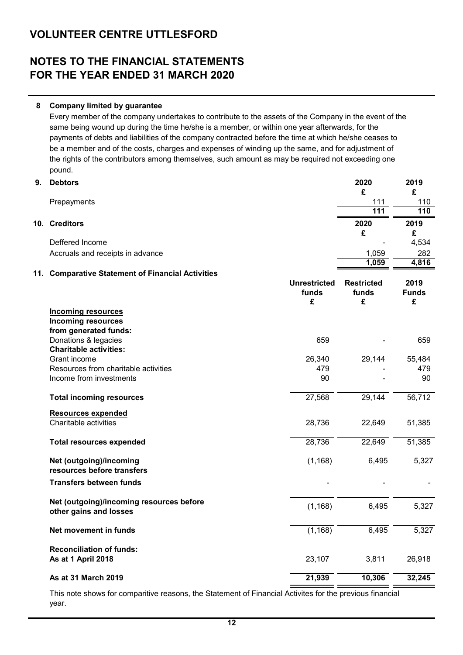# **NOTES TO THE FINANCIAL STATEMENTS FOR THE YEAR ENDED 31 MARCH 2020**

#### **8 Company limited by guarantee**

Every member of the company undertakes to contribute to the assets of the Company in the event of the same being wound up during the time he/she is a member, or within one year afterwards, for the payments of debts and liabilities of the company contracted before the time at which he/she ceases to be a member and of the costs, charges and expenses of winding up the same, and for adjustment of the rights of the contributors among themselves, such amount as may be required not exceeding one pound.

| 9.  | <b>Debtors</b>                                        |                     | 2020<br>£         | 2019<br>£    |
|-----|-------------------------------------------------------|---------------------|-------------------|--------------|
|     | Prepayments                                           |                     | 111               | 110          |
|     |                                                       |                     | $\overline{111}$  | 110          |
|     | 10. Creditors                                         |                     | 2020              | 2019         |
|     |                                                       |                     | £                 | £            |
|     | Deffered Income                                       |                     |                   | 4,534        |
|     | Accruals and receipts in advance                      |                     | 1,059             | 282          |
|     |                                                       |                     | 1,059             | 4,816        |
| 11. | <b>Comparative Statement of Financial Activities</b>  |                     |                   |              |
|     |                                                       | <b>Unrestricted</b> | <b>Restricted</b> | 2019         |
|     |                                                       | funds               | funds             | <b>Funds</b> |
|     |                                                       | £                   | £                 | £            |
|     | <b>Incoming resources</b>                             |                     |                   |              |
|     | <b>Incoming resources</b>                             |                     |                   |              |
|     | from generated funds:                                 |                     |                   |              |
|     | Donations & legacies<br><b>Charitable activities:</b> | 659                 |                   | 659          |
|     | Grant income                                          |                     |                   | 55,484       |
|     | Resources from charitable activities                  | 26,340<br>479       | 29,144            | 479          |
|     | Income from investments                               | 90                  |                   | 90           |
|     |                                                       |                     |                   |              |
|     | <b>Total incoming resources</b>                       | 27,568              | 29,144            | 56,712       |
|     | <b>Resources expended</b>                             |                     |                   |              |
|     | Charitable activities                                 | 28,736              | 22,649            | 51,385       |
|     | <b>Total resources expended</b>                       | 28,736              | 22,649            | 51,385       |
|     | Net (outgoing)/incoming                               | (1, 168)            | 6,495             | 5,327        |
|     | resources before transfers                            |                     |                   |              |
|     | <b>Transfers between funds</b>                        |                     |                   |              |
|     | Net (outgoing)/incoming resources before              | (1, 168)            | 6,495             | 5,327        |
|     | other gains and losses                                |                     |                   |              |
|     | Net movement in funds                                 | (1, 168)            | 6,495             | 5,327        |
|     | <b>Reconciliation of funds:</b>                       |                     |                   |              |
|     | As at 1 April 2018                                    | 23,107              | 3,811             | 26,918       |
|     | As at 31 March 2019                                   | 21,939              | 10,306            | 32,245       |
|     |                                                       |                     |                   |              |

This note shows for comparitive reasons, the Statement of Financial Activites for the previous financial year.